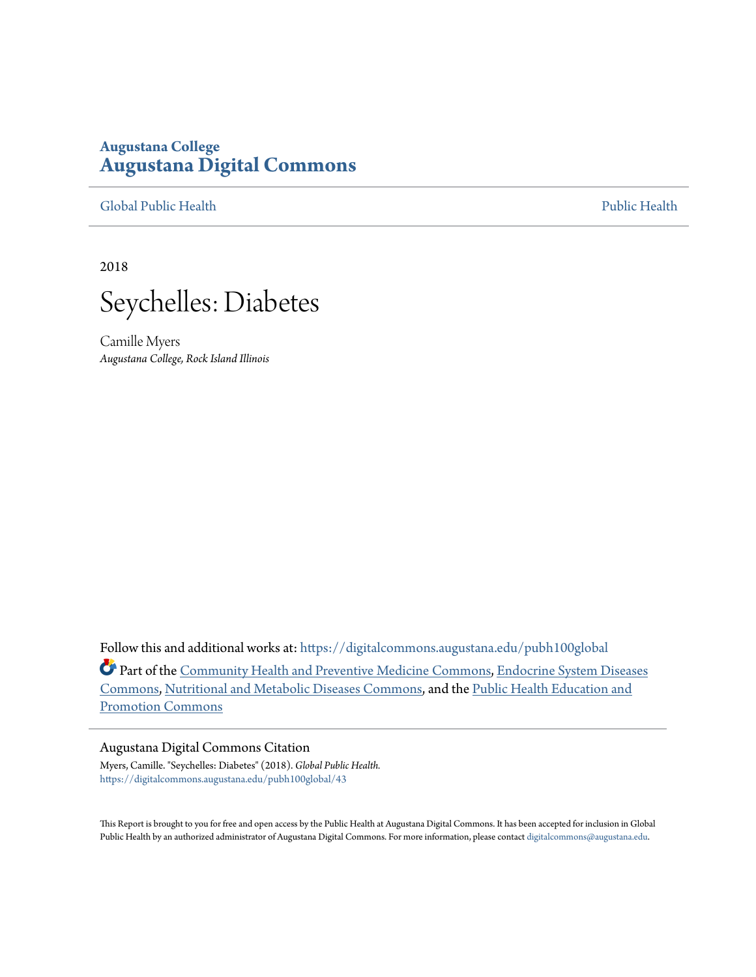## **Augustana College [Augustana Digital Commons](https://digitalcommons.augustana.edu?utm_source=digitalcommons.augustana.edu%2Fpubh100global%2F43&utm_medium=PDF&utm_campaign=PDFCoverPages)**

[Global Public Health](https://digitalcommons.augustana.edu/pubh100global?utm_source=digitalcommons.augustana.edu%2Fpubh100global%2F43&utm_medium=PDF&utm_campaign=PDFCoverPages) [Public Health](https://digitalcommons.augustana.edu/publichealth?utm_source=digitalcommons.augustana.edu%2Fpubh100global%2F43&utm_medium=PDF&utm_campaign=PDFCoverPages)

2018



Camille Myers *Augustana College, Rock Island Illinois*

Follow this and additional works at: [https://digitalcommons.augustana.edu/pubh100global](https://digitalcommons.augustana.edu/pubh100global?utm_source=digitalcommons.augustana.edu%2Fpubh100global%2F43&utm_medium=PDF&utm_campaign=PDFCoverPages) Part of the [Community Health and Preventive Medicine Commons,](http://network.bepress.com/hgg/discipline/744?utm_source=digitalcommons.augustana.edu%2Fpubh100global%2F43&utm_medium=PDF&utm_campaign=PDFCoverPages) [Endocrine System Diseases](http://network.bepress.com/hgg/discipline/969?utm_source=digitalcommons.augustana.edu%2Fpubh100global%2F43&utm_medium=PDF&utm_campaign=PDFCoverPages) [Commons,](http://network.bepress.com/hgg/discipline/969?utm_source=digitalcommons.augustana.edu%2Fpubh100global%2F43&utm_medium=PDF&utm_campaign=PDFCoverPages) [Nutritional and Metabolic Diseases Commons](http://network.bepress.com/hgg/discipline/1003?utm_source=digitalcommons.augustana.edu%2Fpubh100global%2F43&utm_medium=PDF&utm_campaign=PDFCoverPages), and the [Public Health Education and](http://network.bepress.com/hgg/discipline/743?utm_source=digitalcommons.augustana.edu%2Fpubh100global%2F43&utm_medium=PDF&utm_campaign=PDFCoverPages) [Promotion Commons](http://network.bepress.com/hgg/discipline/743?utm_source=digitalcommons.augustana.edu%2Fpubh100global%2F43&utm_medium=PDF&utm_campaign=PDFCoverPages)

### Augustana Digital Commons Citation

Myers, Camille. "Seychelles: Diabetes" (2018). *Global Public Health.* [https://digitalcommons.augustana.edu/pubh100global/43](https://digitalcommons.augustana.edu/pubh100global/43?utm_source=digitalcommons.augustana.edu%2Fpubh100global%2F43&utm_medium=PDF&utm_campaign=PDFCoverPages)

This Report is brought to you for free and open access by the Public Health at Augustana Digital Commons. It has been accepted for inclusion in Global Public Health by an authorized administrator of Augustana Digital Commons. For more information, please contact [digitalcommons@augustana.edu.](mailto:digitalcommons@augustana.edu)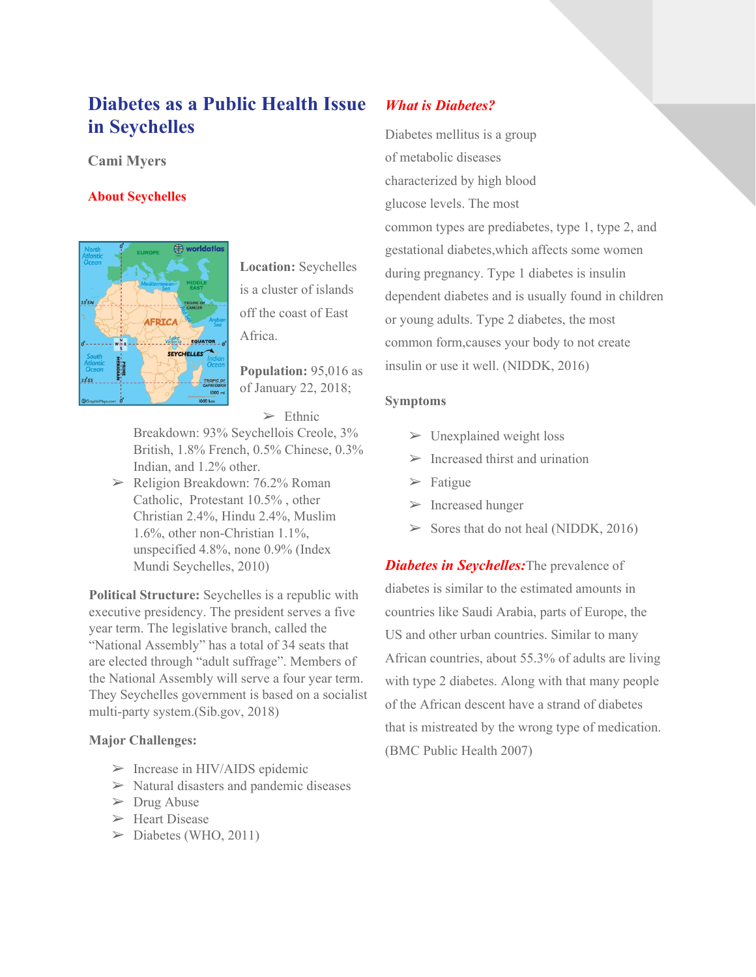# **Diabetes as a Public Health Issue in Seychelles**

### **Cami Myers**

### **About Seychelles**



**Location:** Seychelles is a cluster of islands off the coast of East Africa.

**Population:** 95,016 as of January 22, 2018;

 $\triangleright$  Ethnic

Breakdown: 93% Seychellois Creole, 3% British, 1.8% French, 0.5% Chinese, 0.3% Indian, and 1.2% other.

 $\blacktriangleright$  Religion Breakdown: 76.2% Roman Catholic, Protestant 10.5% , other Christian 2.4%, Hindu 2.4%, Muslim 1.6%, other non-Christian 1.1%, unspecified 4.8%, none 0.9% (Index Mundi Seychelles, 2010)

**Political Structure:** Seychelles is a republic with executive presidency. The president serves a five year term. The legislative branch, called the "National Assembly" has a total of 34 seats that are elected through "adult suffrage". Members of the National Assembly will serve a four year term. They Seychelles government is based on a socialist multi-party system.(Sib.gov, 2018)

### **Major Challenges:**

- $\triangleright$  Increase in HIV/AIDS epidemic
- $\triangleright$  Natural disasters and pandemic diseases
- $\triangleright$  Drug Abuse
- ➢ Heart Disease
- $\triangleright$  Diabetes (WHO, 2011)

### *What is Diabetes?*

Diabetes mellitus is a group of metabolic diseases characterized by high blood glucose levels. The most common types are prediabetes, type 1, type 2, and gestational diabetes,which affects some women during pregnancy. Type 1 diabetes is insulin dependent diabetes and is usually found in children or young adults. Type 2 diabetes, the most common form,causes your body to not create insulin or use it well. (NIDDK, 2016)

### **Symptoms**

- $\triangleright$  Unexplained weight loss
- $\triangleright$  Increased thirst and urination
- ➢ Fatigue
- ➢ Increased hunger
- $>$  Sores that do not heal (NIDDK, 2016)

*Diabetes in Seychelles:*The prevalence of diabetes is similar to the estimated amounts in countries like Saudi Arabia, parts of Europe, the US and other urban countries. Similar to many African countries, about 55.3% of adults are living with type 2 diabetes. Along with that many people of the African descent have a strand of diabetes that is mistreated by the wrong type of medication. (BMC Public Health 2007)